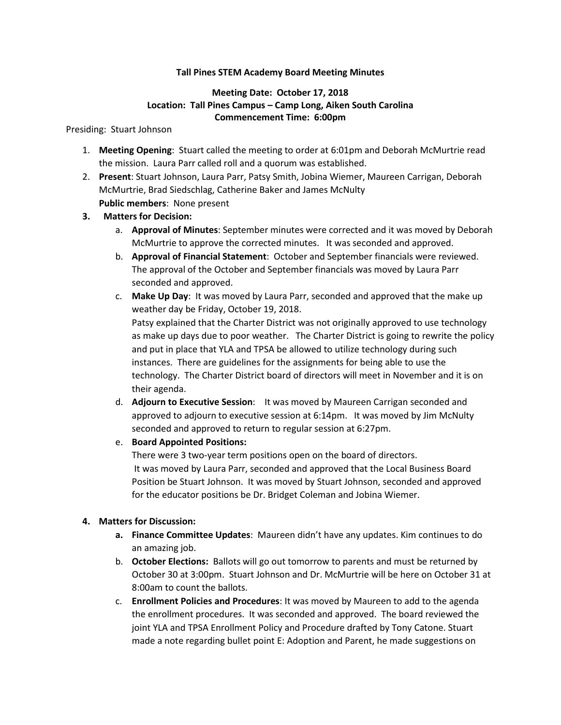### **Tall Pines STEM Academy Board Meeting Minutes**

# **Meeting Date: October 17, 2018 Location: Tall Pines Campus – Camp Long, Aiken South Carolina Commencement Time: 6:00pm**

#### Presiding: Stuart Johnson

- 1. **Meeting Opening**: Stuart called the meeting to order at 6:01pm and Deborah McMurtrie read the mission. Laura Parr called roll and a quorum was established.
- 2. **Present**: Stuart Johnson, Laura Parr, Patsy Smith, Jobina Wiemer, Maureen Carrigan, Deborah McMurtrie, Brad Siedschlag, Catherine Baker and James McNulty **Public members**: None present
- **3. Matters for Decision:**
	- a. **Approval of Minutes**: September minutes were corrected and it was moved by Deborah McMurtrie to approve the corrected minutes. It was seconded and approved.
	- b. **Approval of Financial Statement**: October and September financials were reviewed. The approval of the October and September financials was moved by Laura Parr seconded and approved.
	- c. **Make Up Day**: It was moved by Laura Parr, seconded and approved that the make up weather day be Friday, October 19, 2018. Patsy explained that the Charter District was not originally approved to use technology

as make up days due to poor weather. The Charter District is going to rewrite the policy and put in place that YLA and TPSA be allowed to utilize technology during such instances. There are guidelines for the assignments for being able to use the technology. The Charter District board of directors will meet in November and it is on their agenda.

- d. **Adjourn to Executive Session**: It was moved by Maureen Carrigan seconded and approved to adjourn to executive session at 6:14pm. It was moved by Jim McNulty seconded and approved to return to regular session at 6:27pm.
- e. **Board Appointed Positions:**

There were 3 two-year term positions open on the board of directors. It was moved by Laura Parr, seconded and approved that the Local Business Board Position be Stuart Johnson. It was moved by Stuart Johnson, seconded and approved for the educator positions be Dr. Bridget Coleman and Jobina Wiemer.

### **4. Matters for Discussion:**

- **a. Finance Committee Updates**: Maureen didn't have any updates. Kim continues to do an amazing job.
- b. **October Elections:** Ballots will go out tomorrow to parents and must be returned by October 30 at 3:00pm. Stuart Johnson and Dr. McMurtrie will be here on October 31 at 8:00am to count the ballots.
- c. **Enrollment Policies and Procedures**: It was moved by Maureen to add to the agenda the enrollment procedures. It was seconded and approved. The board reviewed the joint YLA and TPSA Enrollment Policy and Procedure drafted by Tony Catone. Stuart made a note regarding bullet point E: Adoption and Parent, he made suggestions on